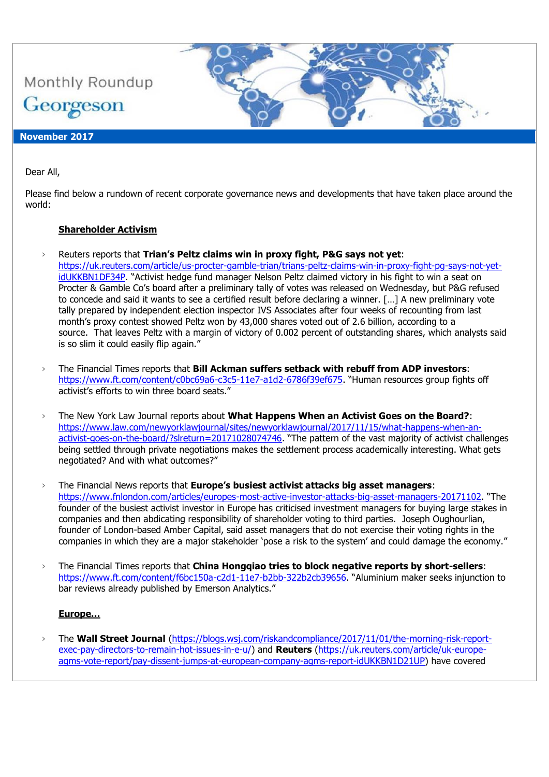

# Dear All,

Please find below a rundown of recent corporate governance news and developments that have taken place around the world:

#### **Shareholder Activism**

- › Reuters reports that **Trian's Peltz claims win in proxy fight, P&G says not yet**:
	- [https://uk.reuters.com/article/us-procter-gamble-trian/trians-peltz-claims-win-in-proxy-fight-pg-says-not-yet](https://uk.reuters.com/article/us-procter-gamble-trian/trians-peltz-claims-win-in-proxy-fight-pg-says-not-yet-idUKKBN1DF34P)[idUKKBN1DF34P](https://uk.reuters.com/article/us-procter-gamble-trian/trians-peltz-claims-win-in-proxy-fight-pg-says-not-yet-idUKKBN1DF34P). "Activist hedge fund manager Nelson Peltz claimed victory in his fight to win a seat on Procter & Gamble Co's board after a preliminary tally of votes was released on Wednesday, but P&G refused to concede and said it wants to see a certified result before declaring a winner. […] A new preliminary vote tally prepared by independent election inspector IVS Associates after four weeks of recounting from last month's proxy contest showed Peltz won by 43,000 shares voted out of 2.6 billion, according to a source. That leaves Peltz with a margin of victory of 0.002 percent of outstanding shares, which analysts said is so slim it could easily flip again."
- › The Financial Times reports that **Bill Ackman suffers setback with rebuff from ADP investors**: <https://www.ft.com/content/c0bc69a6-c3c5-11e7-a1d2-6786f39ef675>. "Human resources group fights off activist's efforts to win three board seats."
- › The New York Law Journal reports about **What Happens When an Activist Goes on the Board?**: [https://www.law.com/newyorklawjournal/sites/newyorklawjournal/2017/11/15/what-happens-when-an](https://www.law.com/newyorklawjournal/sites/newyorklawjournal/2017/11/15/what-happens-when-an-activist-goes-on-the-board/?slreturn=20171028074746)[activist-goes-on-the-board/?slreturn=20171028074746](https://www.law.com/newyorklawjournal/sites/newyorklawjournal/2017/11/15/what-happens-when-an-activist-goes-on-the-board/?slreturn=20171028074746). "The pattern of the vast majority of activist challenges being settled through private negotiations makes the settlement process academically interesting. What gets negotiated? And with what outcomes?"
- › The Financial News reports that **Europe's busiest activist attacks big asset managers**: <https://www.fnlondon.com/articles/europes-most-active-investor-attacks-big-asset-managers-20171102>. "The founder of the busiest activist investor in Europe has criticised investment managers for buying large stakes in companies and then abdicating responsibility of shareholder voting to third parties. Joseph Oughourlian, founder of London-based Amber Capital, said asset managers that do not exercise their voting rights in the companies in which they are a major stakeholder 'pose a risk to the system' and could damage the economy."
- › The Financial Times reports that **China Hongqiao tries to block negative reports by short-sellers**: <https://www.ft.com/content/f6bc150a-c2d1-11e7-b2bb-322b2cb39656>. "Aluminium maker seeks injunction to bar reviews already published by Emerson Analytics."

#### **Europe…**

› The **Wall Street Journal** [\(https://blogs.wsj.com/riskandcompliance/2017/11/01/the-morning-risk-report](https://blogs.wsj.com/riskandcompliance/2017/11/01/the-morning-risk-report-exec-pay-directors-to-remain-hot-issues-in-e-u/)[exec-pay-directors-to-remain-hot-issues-in-e-u/\)](https://blogs.wsj.com/riskandcompliance/2017/11/01/the-morning-risk-report-exec-pay-directors-to-remain-hot-issues-in-e-u/) and **Reuters** [\(https://uk.reuters.com/article/uk-europe](https://uk.reuters.com/article/uk-europe-agms-vote-report/pay-dissent-jumps-at-european-company-agms-report-idUKKBN1D21UP)[agms-vote-report/pay-dissent-jumps-at-european-company-agms-report-idUKKBN1D21UP\)](https://uk.reuters.com/article/uk-europe-agms-vote-report/pay-dissent-jumps-at-european-company-agms-report-idUKKBN1D21UP) have covered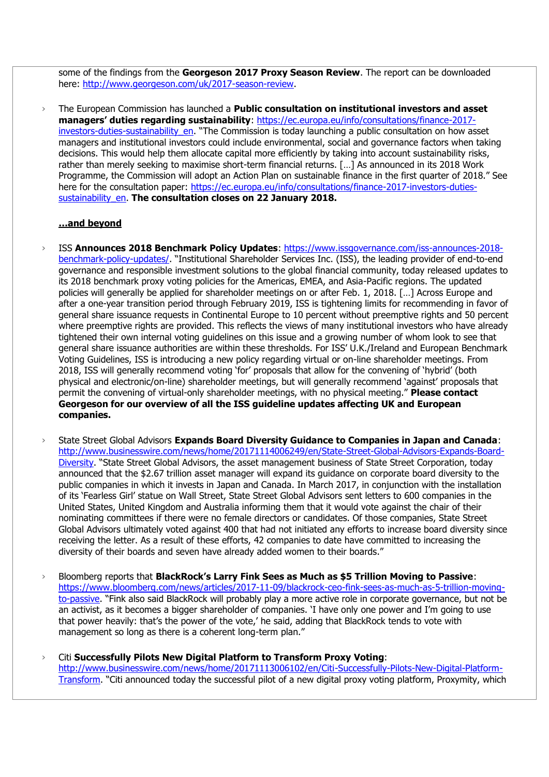some of the findings from the **Georgeson 2017 Proxy Season Review**. The report can be downloaded here: [http://www.georgeson.com/uk/2017-season-review.](http://www.georgeson.com/uk/2017-season-review)

› The European Commission has launched a **Public consultation on institutional investors and asset managers' duties regarding sustainability**: [https://ec.europa.eu/info/consultations/finance-2017](https://ec.europa.eu/info/consultations/finance-2017-investors-duties-sustainability_en) [investors-duties-sustainability\\_en](https://ec.europa.eu/info/consultations/finance-2017-investors-duties-sustainability_en). "The Commission is today launching a public consultation on how asset managers and institutional investors could include environmental, social and governance factors when taking decisions. This would help them allocate capital more efficiently by taking into account sustainability risks, rather than merely seeking to maximise short-term financial returns. […] As announced in its 2018 Work Programme, the Commission will adopt an Action Plan on sustainable finance in the first quarter of 2018." See here for the consultation paper: [https://ec.europa.eu/info/consultations/finance-2017-investors-duties](https://ec.europa.eu/info/consultations/finance-2017-investors-duties-sustainability_en)[sustainability\\_en.](https://ec.europa.eu/info/consultations/finance-2017-investors-duties-sustainability_en) **The consultation closes on 22 January 2018.** 

#### **…and beyond**

- › ISS **Announces 2018 Benchmark Policy Updates**: [https://www.issgovernance.com/iss-announces-2018](https://www.issgovernance.com/iss-announces-2018-benchmark-policy-updates/) [benchmark-policy-updates/](https://www.issgovernance.com/iss-announces-2018-benchmark-policy-updates/). "Institutional Shareholder Services Inc. (ISS), the leading provider of end-to-end governance and responsible investment solutions to the global financial community, today released updates to its 2018 benchmark proxy voting policies for the Americas, EMEA, and Asia-Pacific regions. The updated policies will generally be applied for shareholder meetings on or after Feb. 1, 2018. […] Across Europe and after a one-year transition period through February 2019, ISS is tightening limits for recommending in favor of general share issuance requests in Continental Europe to 10 percent without preemptive rights and 50 percent where preemptive rights are provided. This reflects the views of many institutional investors who have already tightened their own internal voting guidelines on this issue and a growing number of whom look to see that general share issuance authorities are within these thresholds. For ISS' U.K./Ireland and European Benchmark Voting Guidelines, ISS is introducing a new policy regarding virtual or on-line shareholder meetings. From 2018, ISS will generally recommend voting 'for' proposals that allow for the convening of 'hybrid' (both physical and electronic/on-line) shareholder meetings, but will generally recommend 'against' proposals that permit the convening of virtual-only shareholder meetings, with no physical meeting." **Please contact Georgeson for our overview of all the ISS guideline updates affecting UK and European companies.**
- › State Street Global Advisors **Expands Board Diversity Guidance to Companies in Japan and Canada**: [http://www.businesswire.com/news/home/20171114006249/en/State-Street-Global-Advisors-Expands-Board-](http://www.businesswire.com/news/home/20171114006249/en/State-Street-Global-Advisors-Expands-Board-Diversity)[Diversity](http://www.businesswire.com/news/home/20171114006249/en/State-Street-Global-Advisors-Expands-Board-Diversity). "State Street Global Advisors, the asset management business of State Street Corporation, today announced that the \$2.67 trillion asset manager will expand its guidance on corporate board diversity to the public companies in which it invests in Japan and Canada. In March 2017, in conjunction with the installation of its 'Fearless Girl' statue on Wall Street, State Street Global Advisors sent letters to 600 companies in the United States, United Kingdom and Australia informing them that it would vote against the chair of their nominating committees if there were no female directors or candidates. Of those companies, State Street Global Advisors ultimately voted against 400 that had not initiated any efforts to increase board diversity since receiving the letter. As a result of these efforts, 42 companies to date have committed to increasing the diversity of their boards and seven have already added women to their boards."
- › Bloomberg reports that **BlackRock's Larry Fink Sees as Much as \$5 Trillion Moving to Passive**: [https://www.bloomberg.com/news/articles/2017-11-09/blackrock-ceo-fink-sees-as-much-as-5-trillion-moving](https://www.bloomberg.com/news/articles/2017-11-09/blackrock-ceo-fink-sees-as-much-as-5-trillion-moving-to-passive)[to-passive](https://www.bloomberg.com/news/articles/2017-11-09/blackrock-ceo-fink-sees-as-much-as-5-trillion-moving-to-passive). "Fink also said BlackRock will probably play a more active role in corporate governance, but not be an activist, as it becomes a bigger shareholder of companies. 'I have only one power and I'm going to use that power heavily: that's the power of the vote,' he said, adding that BlackRock tends to vote with management so long as there is a coherent long-term plan."
- › Citi **Successfully Pilots New Digital Platform to Transform Proxy Voting**: [http://www.businesswire.com/news/home/20171113006102/en/Citi-Successfully-Pilots-New-Digital-Platform-](http://www.businesswire.com/news/home/20171113006102/en/Citi-Successfully-Pilots-New-Digital-Platform-Transform)[Transform](http://www.businesswire.com/news/home/20171113006102/en/Citi-Successfully-Pilots-New-Digital-Platform-Transform). "Citi announced today the successful pilot of a new digital proxy voting platform, Proxymity, which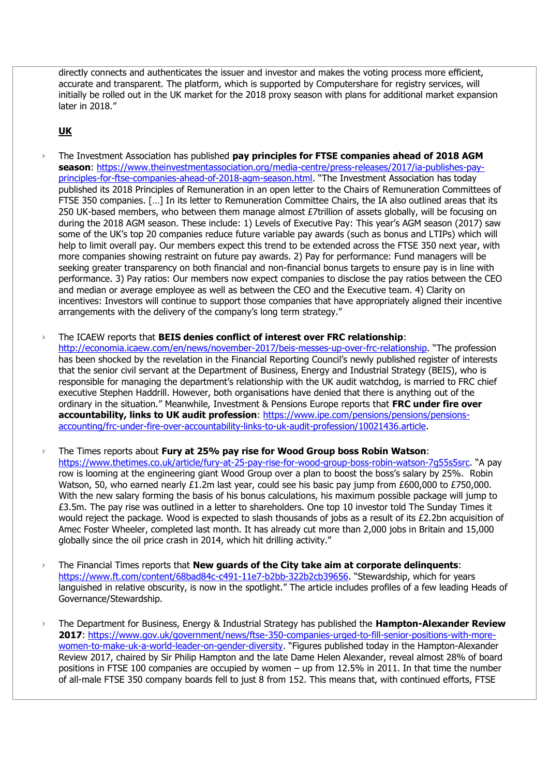directly connects and authenticates the issuer and investor and makes the voting process more efficient, accurate and transparent. The platform, which is supported by Computershare for registry services, will initially be rolled out in the UK market for the 2018 proxy season with plans for additional market expansion later in 2018."

## **UK**

- › The Investment Association has published **pay principles for FTSE companies ahead of 2018 AGM season**: [https://www.theinvestmentassociation.org/media-centre/press-releases/2017/ia-publishes-pay](https://www.theinvestmentassociation.org/media-centre/press-releases/2017/ia-publishes-pay-principles-for-ftse-companies-ahead-of-2018-agm-season.html)[principles-for-ftse-companies-ahead-of-2018-agm-season.html](https://www.theinvestmentassociation.org/media-centre/press-releases/2017/ia-publishes-pay-principles-for-ftse-companies-ahead-of-2018-agm-season.html). "The Investment Association has today published its 2018 Principles of Remuneration in an open letter to the Chairs of Remuneration Committees of FTSE 350 companies. […] In its letter to Remuneration Committee Chairs, the IA also outlined areas that its 250 UK-based members, who between them manage almost £7trillion of assets globally, will be focusing on during the 2018 AGM season. These include: 1) Levels of Executive Pay: This year's AGM season (2017) saw some of the UK's top 20 companies reduce future variable pay awards (such as bonus and LTIPs) which will help to limit overall pay. Our members expect this trend to be extended across the FTSE 350 next year, with more companies showing restraint on future pay awards. 2) Pay for performance: Fund managers will be seeking greater transparency on both financial and non-financial bonus targets to ensure pay is in line with performance. 3) Pay ratios: Our members now expect companies to disclose the pay ratios between the CEO and median or average employee as well as between the CEO and the Executive team. 4) Clarity on incentives: Investors will continue to support those companies that have appropriately aligned their incentive arrangements with the delivery of the company's long term strategy."
- › The ICAEW reports that **BEIS denies conflict of interest over FRC relationship**: <http://economia.icaew.com/en/news/november-2017/beis-messes-up-over-frc-relationship>. "The profession has been shocked by the revelation in the Financial Reporting Council's newly published register of interests that the senior civil servant at the Department of Business, Energy and Industrial Strategy (BEIS), who is responsible for managing the department's relationship with the UK audit watchdog, is married to FRC chief executive Stephen Haddrill. However, both organisations have denied that there is anything out of the ordinary in the situation." Meanwhile, Investment & Pensions Europe reports that **FRC under fire over accountability, links to UK audit profession**: [https://www.ipe.com/pensions/pensions/pensions](https://www.ipe.com/pensions/pensions/pensions-accounting/frc-under-fire-over-accountability-links-to-uk-audit-profession/10021436.article)[accounting/frc-under-fire-over-accountability-links-to-uk-audit-profession/10021436.article.](https://www.ipe.com/pensions/pensions/pensions-accounting/frc-under-fire-over-accountability-links-to-uk-audit-profession/10021436.article)
- › The Times reports about **Fury at 25% pay rise for Wood Group boss Robin Watson**: <https://www.thetimes.co.uk/article/fury-at-25-pay-rise-for-wood-group-boss-robin-watson-7g55s5src>. "A pay row is looming at the engineering giant Wood Group over a plan to boost the boss's salary by 25%. Robin Watson, 50, who earned nearly £1.2m last year, could see his basic pay jump from £600,000 to £750,000. With the new salary forming the basis of his bonus calculations, his maximum possible package will jump to £3.5m. The pay rise was outlined in a letter to shareholders. One top 10 investor told The Sunday Times it would reject the package. Wood is expected to slash thousands of jobs as a result of its £2.2bn acquisition of Amec Foster Wheeler, completed last month. It has already cut more than 2,000 jobs in Britain and 15,000 globally since the oil price crash in 2014, which hit drilling activity."
- › The Financial Times reports that **New guards of the City take aim at corporate delinquents**: <https://www.ft.com/content/68bad84c-c491-11e7-b2bb-322b2cb39656>. "Stewardship, which for years languished in relative obscurity, is now in the spotlight." The article includes profiles of a few leading Heads of Governance/Stewardship.
- › The Department for Business, Energy & Industrial Strategy has published the **Hampton-Alexander Review 2017**: [https://www.gov.uk/government/news/ftse-350-companies-urged-to-fill-senior-positions-with-more](https://www.gov.uk/government/news/ftse-350-companies-urged-to-fill-senior-positions-with-more-women-to-make-uk-a-world-leader-on-gender-diversity)[women-to-make-uk-a-world-leader-on-gender-diversity.](https://www.gov.uk/government/news/ftse-350-companies-urged-to-fill-senior-positions-with-more-women-to-make-uk-a-world-leader-on-gender-diversity) "Figures published today in the Hampton-Alexander Review 2017, chaired by Sir Philip Hampton and the late Dame Helen Alexander, reveal almost 28% of board positions in FTSE 100 companies are occupied by women – up from 12.5% in 2011. In that time the number of all-male FTSE 350 company boards fell to just 8 from 152. This means that, with continued efforts, FTSE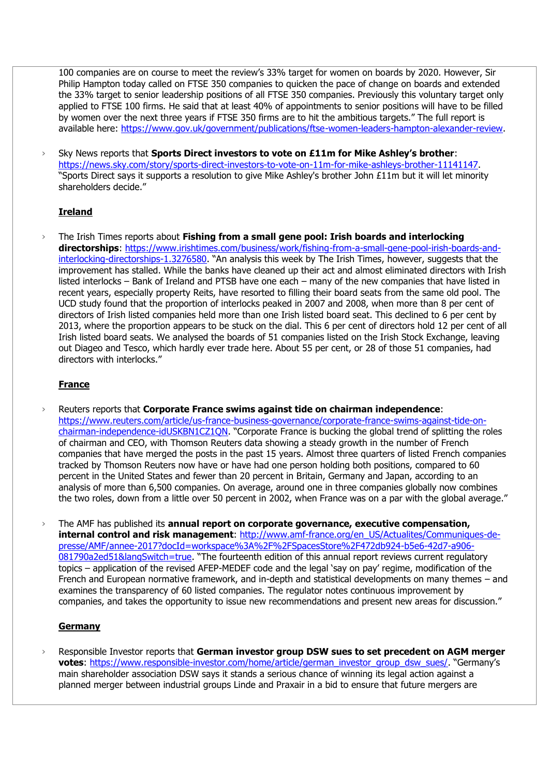100 companies are on course to meet the review's 33% target for women on boards by 2020. However, Sir Philip Hampton today called on FTSE 350 companies to quicken the pace of change on boards and extended the 33% target to senior leadership positions of all FTSE 350 companies. Previously this voluntary target only applied to FTSE 100 firms. He said that at least 40% of appointments to senior positions will have to be filled by women over the next three years if FTSE 350 firms are to hit the ambitious targets." The full report is available here: [https://www.gov.uk/government/publications/ftse-women-leaders-hampton-alexander-review.](https://www.gov.uk/government/publications/ftse-women-leaders-hampton-alexander-review)

› Sky News reports that **Sports Direct investors to vote on £11m for Mike Ashley's brother**: [https://news.sky.com/story/sports-direct-investors-to-vote-on-11m-for-mike-ashleys-brother-11141147.](https://news.sky.com/story/sports-direct-investors-to-vote-on-11m-for-mike-ashleys-brother-11141147) "Sports Direct says it supports a resolution to give Mike Ashley's brother John £11m but it will let minority shareholders decide."

## **Ireland**

› The Irish Times reports about **Fishing from a small gene pool: Irish boards and interlocking directorships**: [https://www.irishtimes.com/business/work/fishing-from-a-small-gene-pool-irish-boards-and](https://www.irishtimes.com/business/work/fishing-from-a-small-gene-pool-irish-boards-and-interlocking-directorships-1.3276580)[interlocking-directorships-1.3276580](https://www.irishtimes.com/business/work/fishing-from-a-small-gene-pool-irish-boards-and-interlocking-directorships-1.3276580). "An analysis this week by The Irish Times, however, suggests that the improvement has stalled. While the banks have cleaned up their act and almost eliminated directors with Irish listed interlocks – Bank of Ireland and PTSB have one each – many of the new companies that have listed in recent years, especially property Reits, have resorted to filling their board seats from the same old pool. The UCD study found that the proportion of interlocks peaked in 2007 and 2008, when more than 8 per cent of directors of Irish listed companies held more than one Irish listed board seat. This declined to 6 per cent by 2013, where the proportion appears to be stuck on the dial. This 6 per cent of directors hold 12 per cent of all Irish listed board seats. We analysed the boards of 51 companies listed on the Irish Stock Exchange, leaving out Diageo and Tesco, which hardly ever trade here. About 55 per cent, or 28 of those 51 companies, had directors with interlocks."

## **France**

- › Reuters reports that **Corporate France swims against tide on chairman independence**: [https://www.reuters.com/article/us-france-business-governance/corporate-france-swims-against-tide-on](https://www.reuters.com/article/us-france-business-governance/corporate-france-swims-against-tide-on-chairman-independence-idUSKBN1CZ1QN)[chairman-independence-idUSKBN1CZ1QN](https://www.reuters.com/article/us-france-business-governance/corporate-france-swims-against-tide-on-chairman-independence-idUSKBN1CZ1QN). "Corporate France is bucking the global trend of splitting the roles of chairman and CEO, with Thomson Reuters data showing a steady growth in the number of French companies that have merged the posts in the past 15 years. Almost three quarters of listed French companies tracked by Thomson Reuters now have or have had one person holding both positions, compared to 60 percent in the United States and fewer than 20 percent in Britain, Germany and Japan, according to an analysis of more than 6,500 companies. On average, around one in three companies globally now combines the two roles, down from a little over 50 percent in 2002, when France was on a par with the global average."
- › The AMF has published its **annual report on corporate governance, executive compensation, internal control and risk management**: [http://www.amf-france.org/en\\_US/Actualites/Communiques-de](http://www.amf-france.org/en_US/Actualites/Communiques-de-presse/AMF/annee-2017?docId=workspace%3A%2F%2FSpacesStore%2F472db924-b5e6-42d7-a906-081790a2ed51&langSwitch=true)[presse/AMF/annee-2017?docId=workspace%3A%2F%2FSpacesStore%2F472db924-b5e6-42d7-a906-](http://www.amf-france.org/en_US/Actualites/Communiques-de-presse/AMF/annee-2017?docId=workspace%3A%2F%2FSpacesStore%2F472db924-b5e6-42d7-a906-081790a2ed51&langSwitch=true) [081790a2ed51&langSwitch=true](http://www.amf-france.org/en_US/Actualites/Communiques-de-presse/AMF/annee-2017?docId=workspace%3A%2F%2FSpacesStore%2F472db924-b5e6-42d7-a906-081790a2ed51&langSwitch=true). "The fourteenth edition of this annual report reviews current regulatory topics – application of the revised AFEP-MEDEF code and the legal 'say on pay' regime, modification of the French and European normative framework, and in-depth and statistical developments on many themes – and examines the transparency of 60 listed companies. The regulator notes continuous improvement by companies, and takes the opportunity to issue new recommendations and present new areas for discussion."

## **Germany**

Responsible Investor reports that German investor group DSW sues to set precedent on AGM merger **votes**: [https://www.responsible-investor.com/home/article/german\\_investor\\_group\\_dsw\\_sues/](https://www.responsible-investor.com/home/article/german_investor_group_dsw_sues/). "Germany's main shareholder association DSW says it stands a serious chance of winning its legal action against a planned merger between industrial groups Linde and Praxair in a bid to ensure that future mergers are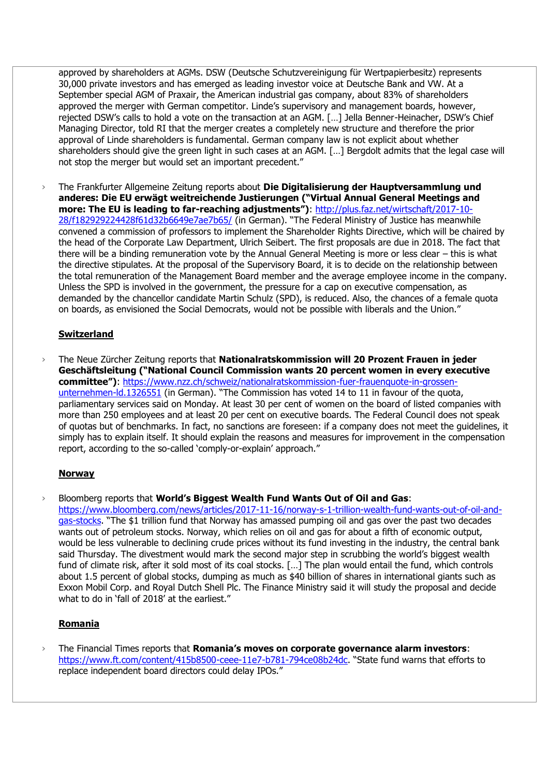approved by shareholders at AGMs. DSW (Deutsche Schutzvereinigung für Wertpapierbesitz) represents 30,000 private investors and has emerged as leading investor voice at Deutsche Bank and VW. At a September special AGM of Praxair, the American industrial gas company, about 83% of shareholders approved the merger with German competitor. Linde's supervisory and management boards, however, rejected DSW's calls to hold a vote on the transaction at an AGM. […] Jella Benner-Heinacher, DSW's Chief Managing Director, told RI that the merger creates a completely new structure and therefore the prior approval of Linde shareholders is fundamental. German company law is not explicit about whether shareholders should give the green light in such cases at an AGM. […] Bergdolt admits that the legal case will not stop the merger but would set an important precedent."

› The Frankfurter Allgemeine Zeitung reports about **Die Digitalisierung der Hauptversammlung und anderes: Die EU erwägt weitreichende Justierungen ("Virtual Annual General Meetings and more: The EU is leading to far-reaching adjustments")**: [http://plus.faz.net/wirtschaft/2017-10-](http://plus.faz.net/wirtschaft/2017-10-28/f182929224428f61d32b6649e7ae7b65/) [28/f182929224428f61d32b6649e7ae7b65/](http://plus.faz.net/wirtschaft/2017-10-28/f182929224428f61d32b6649e7ae7b65/) (in German). "The Federal Ministry of Justice has meanwhile convened a commission of professors to implement the Shareholder Rights Directive, which will be chaired by the head of the Corporate Law Department, Ulrich Seibert. The first proposals are due in 2018. The fact that there will be a binding remuneration vote by the Annual General Meeting is more or less clear – this is what the directive stipulates. At the proposal of the Supervisory Board, it is to decide on the relationship between the total remuneration of the Management Board member and the average employee income in the company. Unless the SPD is involved in the government, the pressure for a cap on executive compensation, as demanded by the chancellor candidate Martin Schulz (SPD), is reduced. Also, the chances of a female quota on boards, as envisioned the Social Democrats, would not be possible with liberals and the Union."

## **Switzerland**

› The Neue Zürcher Zeitung reports that **Nationalratskommission will 20 Prozent Frauen in jeder Geschäftsleitung ("National Council Commission wants 20 percent women in every executive committee")**: [https://www.nzz.ch/schweiz/nationalratskommission-fuer-frauenquote-in-grossen](https://www.nzz.ch/schweiz/nationalratskommission-fuer-frauenquote-in-grossen-unternehmen-ld.1326551)[unternehmen-ld.1326551](https://www.nzz.ch/schweiz/nationalratskommission-fuer-frauenquote-in-grossen-unternehmen-ld.1326551) (in German). "The Commission has voted 14 to 11 in favour of the quota, parliamentary services said on Monday. At least 30 per cent of women on the board of listed companies with more than 250 employees and at least 20 per cent on executive boards. The Federal Council does not speak of quotas but of benchmarks. In fact, no sanctions are foreseen: if a company does not meet the guidelines, it simply has to explain itself. It should explain the reasons and measures for improvement in the compensation report, according to the so-called 'comply-or-explain' approach."

#### **Norway**

› Bloomberg reports that **World's Biggest Wealth Fund Wants Out of Oil and Gas**: [https://www.bloomberg.com/news/articles/2017-11-16/norway-s-1-trillion-wealth-fund-wants-out-of-oil-and](https://www.bloomberg.com/news/articles/2017-11-16/norway-s-1-trillion-wealth-fund-wants-out-of-oil-and-gas-stocks)[gas-stocks](https://www.bloomberg.com/news/articles/2017-11-16/norway-s-1-trillion-wealth-fund-wants-out-of-oil-and-gas-stocks). "The \$1 trillion fund that Norway has amassed pumping oil and gas over the past two decades wants out of petroleum stocks. Norway, which relies on oil and gas for about a fifth of economic output, would be less vulnerable to declining crude prices without its fund investing in the industry, the central bank

said Thursday. The divestment would mark the second major step in scrubbing the world's biggest wealth fund of climate risk, after it sold most of its coal stocks. [...] The plan would entail the fund, which controls about 1.5 percent of global stocks, dumping as much as \$40 billion of shares in international giants such as Exxon Mobil Corp. and Royal Dutch Shell Plc. The Finance Ministry said it will study the proposal and decide what to do in 'fall of 2018' at the earliest."

## **Romania**

› The Financial Times reports that **Romania's moves on corporate governance alarm investors**: <https://www.ft.com/content/415b8500-ceee-11e7-b781-794ce08b24dc>. "State fund warns that efforts to replace independent board directors could delay IPOs."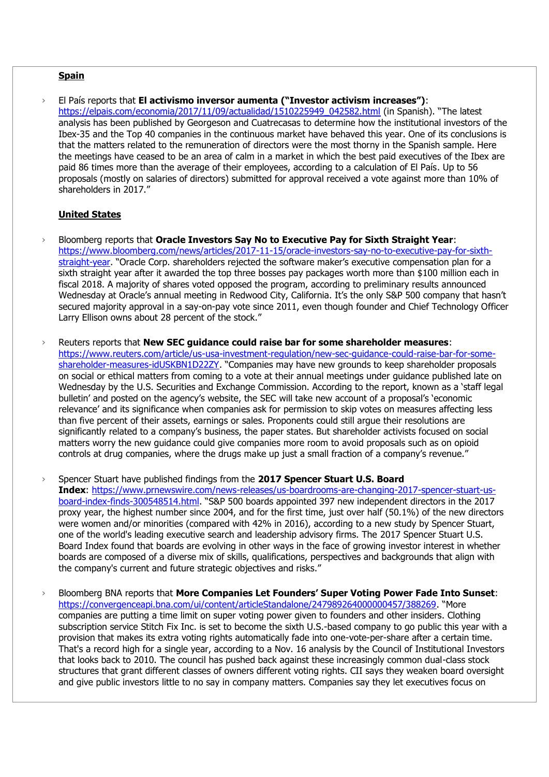#### **Spain**

› El País reports that **El activismo inversor aumenta ("Investor activism increases")**: [https://elpais.com/economia/2017/11/09/actualidad/1510225949\\_042582.html](https://elpais.com/economia/2017/11/09/actualidad/1510225949_042582.html) (in Spanish). "The latest analysis has been published by Georgeson and Cuatrecasas to determine how the institutional investors of the Ibex-35 and the Top 40 companies in the continuous market have behaved this year. One of its conclusions is that the matters related to the remuneration of directors were the most thorny in the Spanish sample. Here the meetings have ceased to be an area of calm in a market in which the best paid executives of the Ibex are paid 86 times more than the average of their employees, according to a calculation of El País. Up to 56 proposals (mostly on salaries of directors) submitted for approval received a vote against more than 10% of shareholders in 2017."

## **United States**

- › Bloomberg reports that **Oracle Investors Say No to Executive Pay for Sixth Straight Year**: [https://www.bloomberg.com/news/articles/2017-11-15/oracle-investors-say-no-to-executive-pay-for-sixth](https://www.bloomberg.com/news/articles/2017-11-15/oracle-investors-say-no-to-executive-pay-for-sixth-straight-year)[straight-year.](https://www.bloomberg.com/news/articles/2017-11-15/oracle-investors-say-no-to-executive-pay-for-sixth-straight-year) "Oracle Corp. shareholders rejected the software maker's executive compensation plan for a sixth straight year after it awarded the top three bosses pay packages worth more than \$100 million each in fiscal 2018. A majority of shares voted opposed the program, according to preliminary results announced Wednesday at Oracle's annual meeting in Redwood City, California. It's the only S&P 500 company that hasn't secured majority approval in a say-on-pay vote since 2011, even though founder and Chief Technology Officer Larry Ellison owns about 28 percent of the stock."
- › Reuters reports that **New SEC guidance could raise bar for some shareholder measures**: [https://www.reuters.com/article/us-usa-investment-regulation/new-sec-guidance-could-raise-bar-for-some](https://www.reuters.com/article/us-usa-investment-regulation/new-sec-guidance-could-raise-bar-for-some-shareholder-measures-idUSKBN1D22ZY)[shareholder-measures-idUSKBN1D22ZY](https://www.reuters.com/article/us-usa-investment-regulation/new-sec-guidance-could-raise-bar-for-some-shareholder-measures-idUSKBN1D22ZY). "Companies may have new grounds to keep shareholder proposals on social or ethical matters from coming to a vote at their annual meetings under guidance published late on Wednesday by the U.S. Securities and Exchange Commission. According to the report, known as a 'staff legal bulletin' and posted on the agency's website, the SEC will take new account of a proposal's 'economic relevance' and its significance when companies ask for permission to skip votes on measures affecting less than five percent of their assets, earnings or sales. Proponents could still argue their resolutions are significantly related to a company's business, the paper states. But shareholder activists focused on social matters worry the new guidance could give companies more room to avoid proposals such as on opioid controls at drug companies, where the drugs make up just a small fraction of a company's revenue."
- › Spencer Stuart have published findings from the **2017 Spencer Stuart U.S. Board Index**: [https://www.prnewswire.com/news-releases/us-boardrooms-are-changing-2017-spencer-stuart-us](https://www.prnewswire.com/news-releases/us-boardrooms-are-changing-2017-spencer-stuart-us-board-index-finds-300548514.html)[board-index-finds-300548514.html](https://www.prnewswire.com/news-releases/us-boardrooms-are-changing-2017-spencer-stuart-us-board-index-finds-300548514.html). "S&P 500 boards appointed 397 new independent directors in the 2017 proxy year, the highest number since 2004, and for the first time, just over half (50.1%) of the new directors were women and/or minorities (compared with 42% in 2016), according to a new study by Spencer Stuart, one of the world's leading executive search and leadership advisory firms. The 2017 Spencer Stuart U.S. Board Index found that boards are evolving in other ways in the face of growing investor interest in whether boards are composed of a diverse mix of skills, qualifications, perspectives and backgrounds that align with the company's current and future strategic objectives and risks."
- › Bloomberg BNA reports that **More Companies Let Founders' Super Voting Power Fade Into Sunset**: [https://convergenceapi.bna.com/ui/content/articleStandalone/247989264000000457/388269.](https://convergenceapi.bna.com/ui/content/articleStandalone/247989264000000457/388269) "More companies are putting a time limit on super voting power given to founders and other insiders. Clothing subscription service Stitch Fix Inc. is set to become the sixth U.S.-based company to go public this year with a provision that makes its extra voting rights automatically fade into one-vote-per-share after a certain time. That's a record high for a single year, according to a Nov. 16 analysis by the Council of Institutional Investors that looks back to 2010. The council has pushed back against these increasingly common dual-class stock structures that grant different classes of owners different voting rights. CII says they weaken board oversight and give public investors little to no say in company matters. Companies say they let executives focus on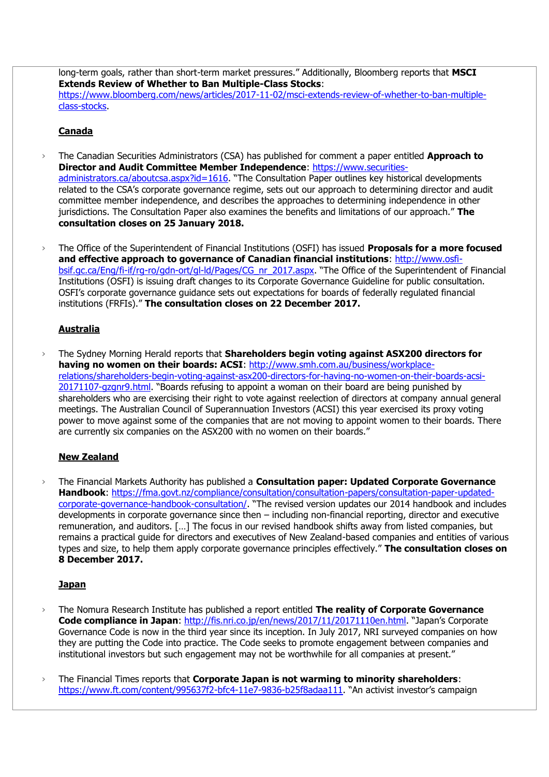long-term goals, rather than short-term market pressures." Additionally, Bloomberg reports that **MSCI Extends Review of Whether to Ban Multiple-Class Stocks**: [https://www.bloomberg.com/news/articles/2017-11-02/msci-extends-review-of-whether-to-ban-multiple](https://www.bloomberg.com/news/articles/2017-11-02/msci-extends-review-of-whether-to-ban-multiple-class-stocks)[class-stocks.](https://www.bloomberg.com/news/articles/2017-11-02/msci-extends-review-of-whether-to-ban-multiple-class-stocks)

## **Canada**

- › The Canadian Securities Administrators (CSA) has published for comment a paper entitled **Approach to Director and Audit Committee Member Independence**: [https://www.securities](https://www.securities-administrators.ca/aboutcsa.aspx?id=1616)[administrators.ca/aboutcsa.aspx?id=1616](https://www.securities-administrators.ca/aboutcsa.aspx?id=1616). "The Consultation Paper outlines key historical developments related to the CSA's corporate governance regime, sets out our approach to determining director and audit committee member independence, and describes the approaches to determining independence in other jurisdictions. The Consultation Paper also examines the benefits and limitations of our approach." **The consultation closes on 25 January 2018.**
- › The Office of the Superintendent of Financial Institutions (OSFI) has issued **Proposals for a more focused and effective approach to governance of Canadian financial institutions**: [http://www.osfi](http://www.osfi-bsif.gc.ca/Eng/fi-if/rg-ro/gdn-ort/gl-ld/Pages/CG_nr_2017.aspx)[bsif.gc.ca/Eng/fi-if/rg-ro/gdn-ort/gl-ld/Pages/CG\\_nr\\_2017.aspx](http://www.osfi-bsif.gc.ca/Eng/fi-if/rg-ro/gdn-ort/gl-ld/Pages/CG_nr_2017.aspx). "The Office of the Superintendent of Financial Institutions (OSFI) is issuing draft changes to its Corporate Governance Guideline for public consultation. OSFI's corporate governance guidance sets out expectations for boards of federally regulated financial institutions (FRFIs)." **The consultation closes on 22 December 2017.**

## **Australia**

› The Sydney Morning Herald reports that **Shareholders begin voting against ASX200 directors for having no women on their boards: ACSI**: [http://www.smh.com.au/business/workplace](http://www.smh.com.au/business/workplace-relations/shareholders-begin-voting-against-asx200-directors-for-having-no-women-on-their-boards-acsi-20171107-gzgnr9.html)[relations/shareholders-begin-voting-against-asx200-directors-for-having-no-women-on-their-boards-acsi-](http://www.smh.com.au/business/workplace-relations/shareholders-begin-voting-against-asx200-directors-for-having-no-women-on-their-boards-acsi-20171107-gzgnr9.html)[20171107-gzgnr9.html](http://www.smh.com.au/business/workplace-relations/shareholders-begin-voting-against-asx200-directors-for-having-no-women-on-their-boards-acsi-20171107-gzgnr9.html). "Boards refusing to appoint a woman on their board are being punished by shareholders who are exercising their right to vote against reelection of directors at company annual general meetings. The Australian Council of Superannuation Investors (ACSI) this year exercised its proxy voting power to move against some of the companies that are not moving to appoint women to their boards. There are currently six companies on the ASX200 with no women on their boards."

## **New Zealand**

› The Financial Markets Authority has published a **Consultation paper: Updated Corporate Governance Handbook**: [https://fma.govt.nz/compliance/consultation/consultation-papers/consultation-paper-updated](https://fma.govt.nz/compliance/consultation/consultation-papers/consultation-paper-updated-corporate-governance-handbook-consultation/)[corporate-governance-handbook-consultation/](https://fma.govt.nz/compliance/consultation/consultation-papers/consultation-paper-updated-corporate-governance-handbook-consultation/). "The revised version updates our 2014 handbook and includes developments in corporate governance since then – including non-financial reporting, director and executive remuneration, and auditors. […] The focus in our revised handbook shifts away from listed companies, but remains a practical guide for directors and executives of New Zealand-based companies and entities of various types and size, to help them apply corporate governance principles effectively." **The consultation closes on 8 December 2017.**

## **Japan**

- › The Nomura Research Institute has published a report entitled **The reality of Corporate Governance Code compliance in Japan**:<http://fis.nri.co.jp/en/news/2017/11/20171110en.html>. "Japan's Corporate Governance Code is now in the third year since its inception. In July 2017, NRI surveyed companies on how they are putting the Code into practice. The Code seeks to promote engagement between companies and institutional investors but such engagement may not be worthwhile for all companies at present."
- › The Financial Times reports that **Corporate Japan is not warming to minority shareholders**: <https://www.ft.com/content/995637f2-bfc4-11e7-9836-b25f8adaa111>. "An activist investor's campaign